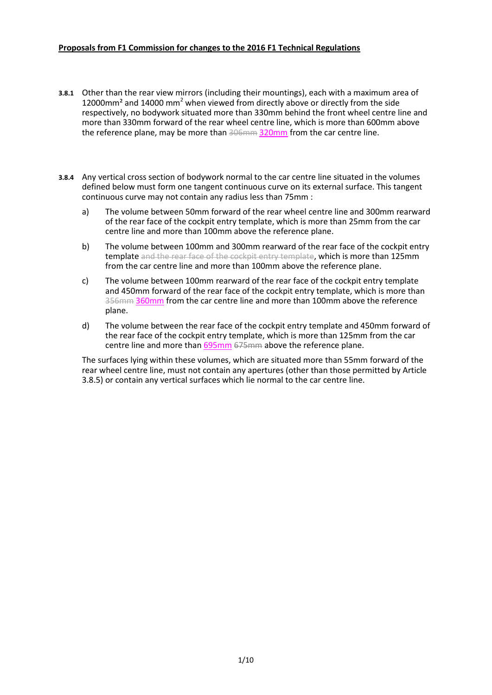### **Proposals from F1 Commission for changes to the 2016 F1 Technical Regulations**

- **3.8.1** Other than the rear view mirrors (including their mountings), each with a maximum area of 12000mm<sup>2</sup> and 14000 mm<sup>2</sup> when viewed from directly above or directly from the side respectively, no bodywork situated more than 330mm behind the front wheel centre line and more than 330mm forward of the rear wheel centre line, which is more than 600mm above the reference plane, may be more than 306mm 320mm from the car centre line.
- **3.8.4** Any vertical cross section of bodywork normal to the car centre line situated in the volumes defined below must form one tangent continuous curve on its external surface. This tangent continuous curve may not contain any radius less than 75mm :
	- a) The volume between 50mm forward of the rear wheel centre line and 300mm rearward of the rear face of the cockpit entry template, which is more than 25mm from the car centre line and more than 100mm above the reference plane.
	- b) The volume between 100mm and 300mm rearward of the rear face of the cockpit entry template and the rear face of the cockpit entry template, which is more than 125mm from the car centre line and more than 100mm above the reference plane.
	- c) The volume between 100mm rearward of the rear face of the cockpit entry template and 450mm forward of the rear face of the cockpit entry template, which is more than 356mm 360mm from the car centre line and more than 100mm above the reference plane.
	- d) The volume between the rear face of the cockpit entry template and 450mm forward of the rear face of the cockpit entry template, which is more than 125mm from the car centre line and more than 695mm 675mm above the reference plane.

The surfaces lying within these volumes, which are situated more than 55mm forward of the rear wheel centre line, must not contain any apertures (other than those permitted by Article 3.8.5) or contain any vertical surfaces which lie normal to the car centre line.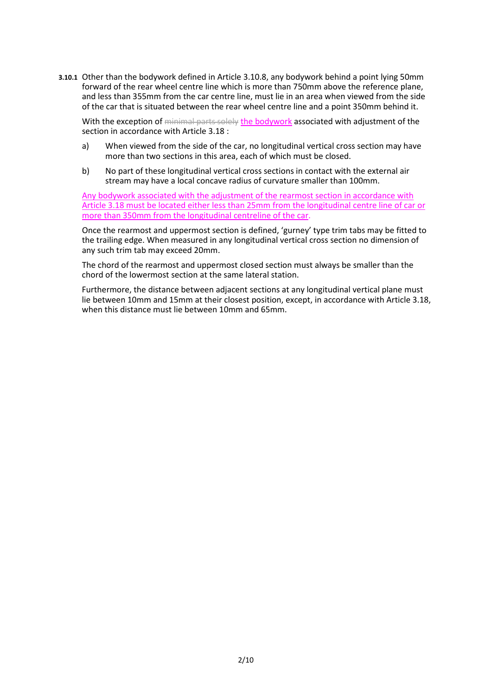**3.10.1** Other than the bodywork defined in Article 3.10.8, any bodywork behind a point lying 50mm forward of the rear wheel centre line which is more than 750mm above the reference plane, and less than 355mm from the car centre line, must lie in an area when viewed from the side of the car that is situated between the rear wheel centre line and a point 350mm behind it.

With the exception of minimal parts solely the bodywork associated with adjustment of the section in accordance with Article 3.18 :

- a) When viewed from the side of the car, no longitudinal vertical cross section may have more than two sections in this area, each of which must be closed.
- b) No part of these longitudinal vertical cross sections in contact with the external air stream may have a local concave radius of curvature smaller than 100mm.

Any bodywork associated with the adjustment of the rearmost section in accordance with Article 3.18 must be located either less than 25mm from the longitudinal centre line of car or more than 350mm from the longitudinal centreline of the car.

Once the rearmost and uppermost section is defined, 'gurney' type trim tabs may be fitted to the trailing edge. When measured in any longitudinal vertical cross section no dimension of any such trim tab may exceed 20mm.

The chord of the rearmost and uppermost closed section must always be smaller than the chord of the lowermost section at the same lateral station.

Furthermore, the distance between adjacent sections at any longitudinal vertical plane must lie between 10mm and 15mm at their closest position, except, in accordance with Article 3.18, when this distance must lie between 10mm and 65mm.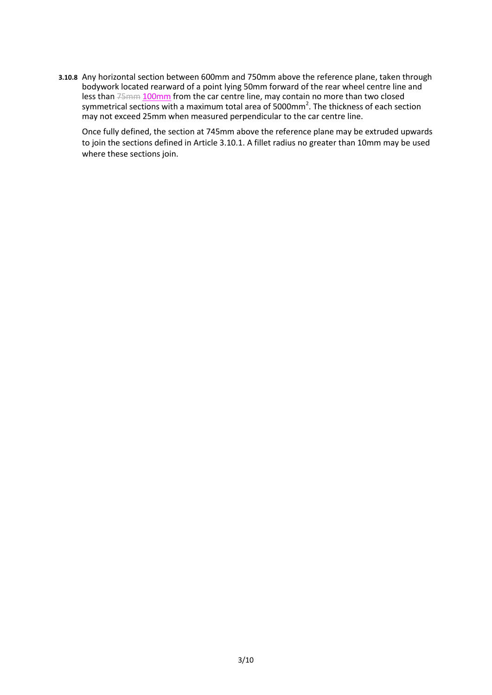**3.10.8** Any horizontal section between 600mm and 750mm above the reference plane, taken through bodywork located rearward of a point lying 50mm forward of the rear wheel centre line and less than 75mm 100mm from the car centre line, may contain no more than two closed symmetrical sections with a maximum total area of 5000mm<sup>2</sup>. The thickness of each section may not exceed 25mm when measured perpendicular to the car centre line.

Once fully defined, the section at 745mm above the reference plane may be extruded upwards to join the sections defined in Article 3.10.1. A fillet radius no greater than 10mm may be used where these sections join.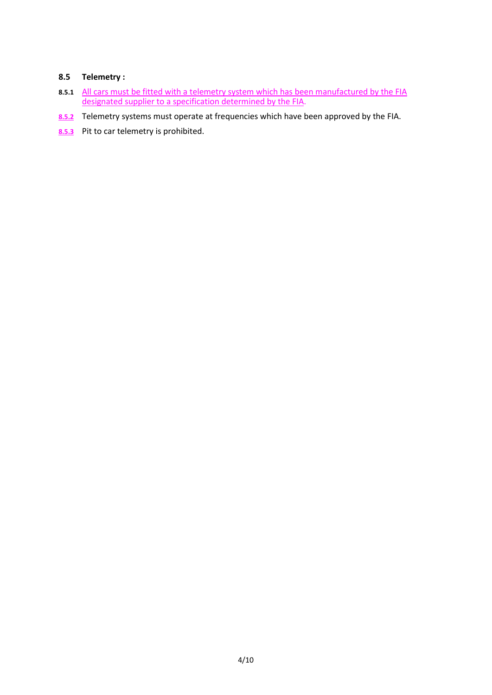# **8.5 Telemetry :**

- **8.5.1** All cars must be fitted with a telemetry system which has been manufactured by the FIA designated supplier to a specification determined by the FIA.
- **8.5.2** Telemetry systems must operate at frequencies which have been approved by the FIA.
- 8.5.3 Pit to car telemetry is prohibited.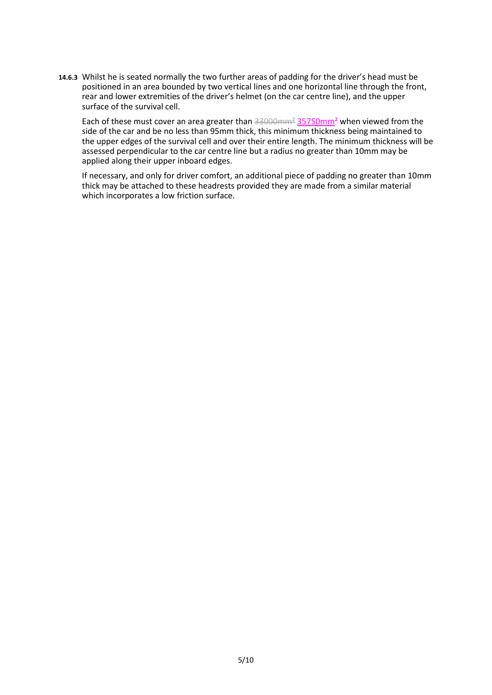**14.6.3** Whilst he is seated normally the two further areas of padding for the driver's head must be positioned in an area bounded by two vertical lines and one horizontal line through the front, rear and lower extremities of the driver's helmet (on the car centre line), and the upper surface of the survival cell.

Each of these must cover an area greater than 33000mm<sup>2</sup> 35750mm<sup>2</sup> when viewed from the side of the car and be no less than 95mm thick, this minimum thickness being maintained to the upper edges of the survival cell and over their entire length. The minimum thickness will be assessed perpendicular to the car centre line but a radius no greater than 10mm may be applied along their upper inboard edges.

If necessary, and only for driver comfort, an additional piece of padding no greater than 10mm thick may be attached to these headrests provided they are made from a similar material which incorporates a low friction surface.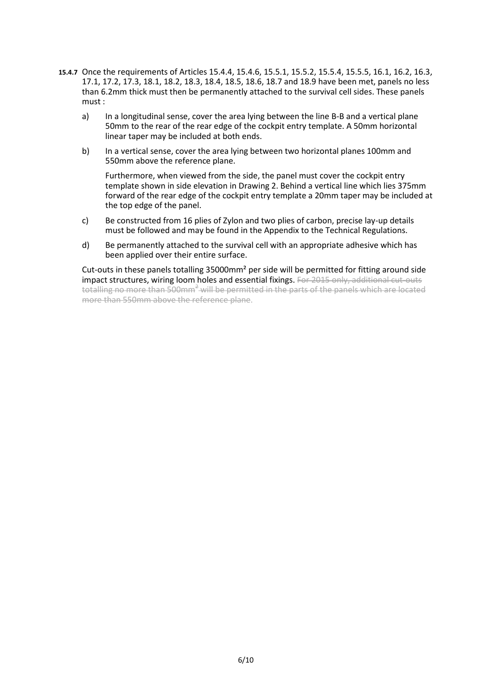- **15.4.7** Once the requirements of Articles 15.4.4, 15.4.6, 15.5.1, 15.5.2, 15.5.4, 15.5.5, 16.1, 16.2, 16.3, 17.1, 17.2, 17.3, 18.1, 18.2, 18.3, 18.4, 18.5, 18.6, 18.7 and 18.9 have been met, panels no less than 6.2mm thick must then be permanently attached to the survival cell sides. These panels must :
	- a) In a longitudinal sense, cover the area lying between the line B-B and a vertical plane 50mm to the rear of the rear edge of the cockpit entry template. A 50mm horizontal linear taper may be included at both ends.
	- b) In a vertical sense, cover the area lying between two horizontal planes 100mm and 550mm above the reference plane.

Furthermore, when viewed from the side, the panel must cover the cockpit entry template shown in side elevation in Drawing 2. Behind a vertical line which lies 375mm forward of the rear edge of the cockpit entry template a 20mm taper may be included at the top edge of the panel.

- c) Be constructed from 16 plies of Zylon and two plies of carbon, precise lay-up details must be followed and may be found in the Appendix to the Technical Regulations.
- d) Be permanently attached to the survival cell with an appropriate adhesive which has been applied over their entire surface.

Cut-outs in these panels totalling 35000mm² per side will be permitted for fitting around side impact structures, wiring loom holes and essential fixings. For 2015 only, additional cut-outs totalling no more than 500mm<sup>2</sup> will be permitted in the parts of the panels which are located more than 550mm above the reference plane.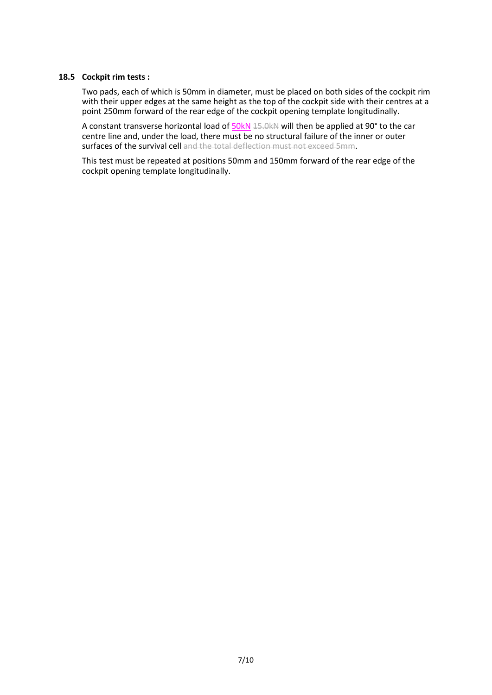#### **18.5 Cockpit rim tests :**

Two pads, each of which is 50mm in diameter, must be placed on both sides of the cockpit rim with their upper edges at the same height as the top of the cockpit side with their centres at a point 250mm forward of the rear edge of the cockpit opening template longitudinally.

A constant transverse horizontal load of  $50kN$  15.0kN will then be applied at 90° to the car centre line and, under the load, there must be no structural failure of the inner or outer surfaces of the survival cell and the total deflection must not exceed 5mm.

This test must be repeated at positions 50mm and 150mm forward of the rear edge of the cockpit opening template longitudinally.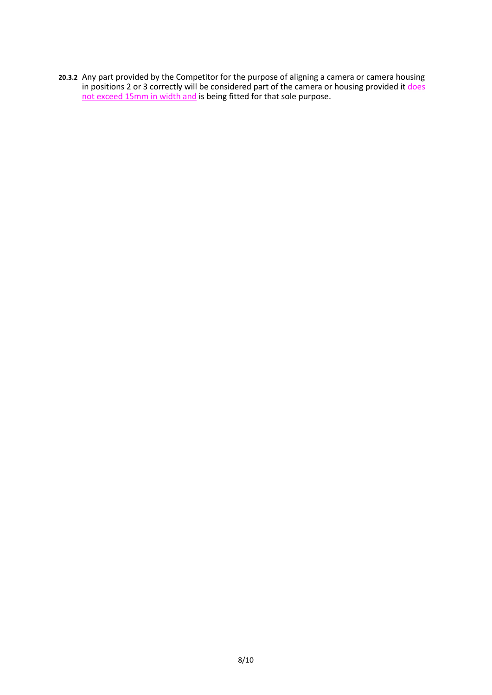**20.3.2** Any part provided by the Competitor for the purpose of aligning a camera or camera housing in positions 2 or 3 correctly will be considered part of the camera or housing provided it <u>does</u> not exceed 15mm in width and is being fitted for that sole purpose.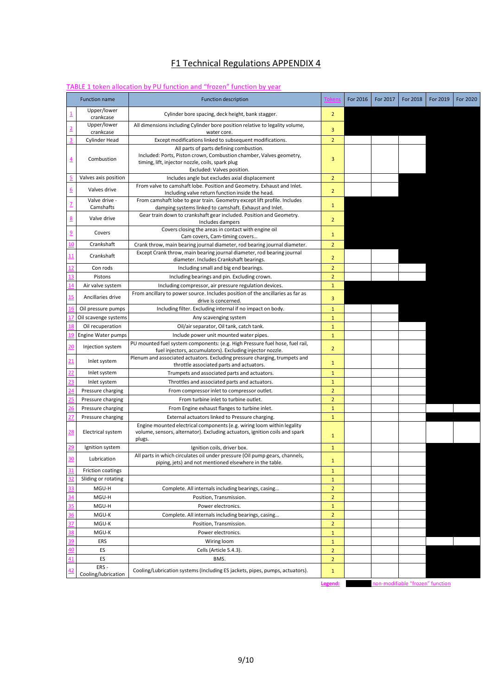## F1 Technical Regulations APPENDIX 4

### TABLE 1 token allocation by PU function and "frozen" function by year

| <b>Function name</b>        | <b>Function description</b>                                                                                                                                     |                | For 2016 | For 2017 | For 2018                         | For 2019 | For 2020 |
|-----------------------------|-----------------------------------------------------------------------------------------------------------------------------------------------------------------|----------------|----------|----------|----------------------------------|----------|----------|
| Upper/lower<br>crankcase    | Cylinder bore spacing, deck height, bank stagger.                                                                                                               | $\overline{2}$ |          |          |                                  |          |          |
| Upper/lower<br>crankcase    | All dimensions including Cylinder bore position relative to legality volume,<br>water core.                                                                     | 3              |          |          |                                  |          |          |
| <b>Cylinder Head</b>        | Except modifications linked to subsequent modifications.                                                                                                        | $\overline{2}$ |          |          |                                  |          |          |
|                             | All parts of parts defining combustion.                                                                                                                         |                |          |          |                                  |          |          |
| Combustion                  | Included: Ports, Piston crown, Combustion chamber, Valves geometry,<br>timing, lift, injector nozzle, coils, spark plug<br>Excluded: Valves position.           | 3              |          |          |                                  |          |          |
| Valves axis position        | Includes angle but excludes axial displacement                                                                                                                  | $\overline{2}$ |          |          |                                  |          |          |
| Valves drive                | From valve to camshaft lobe. Position and Geometry. Exhaust and Inlet.<br>Including valve return function inside the head.                                      | $\overline{2}$ |          |          |                                  |          |          |
| Valve drive -<br>Camshafts  | From camshaft lobe to gear train. Geometry except lift profile. Includes<br>damping systems linked to camshaft. Exhaust and Inlet.                              | $\mathbf{1}$   |          |          |                                  |          |          |
| Valve drive                 | Gear train down to crankshaft gear included. Position and Geometry.<br>Includes dampers                                                                         | $\overline{2}$ |          |          |                                  |          |          |
| Covers                      | Covers closing the areas in contact with engine oil<br>Cam covers, Cam-timing covers                                                                            | $\mathbf{1}$   |          |          |                                  |          |          |
| Crankshaft                  | Crank throw, main bearing journal diameter, rod bearing journal diameter.                                                                                       | $\overline{2}$ |          |          |                                  |          |          |
| Crankshaft                  | Except Crank throw, main bearing journal diameter, rod bearing journal<br>diameter. Includes Crankshaft bearings.                                               | $\overline{2}$ |          |          |                                  |          |          |
| Con rods                    | Including small and big end bearings.                                                                                                                           | $\overline{2}$ |          |          |                                  |          |          |
| Pistons                     | Including bearings and pin. Excluding crown.                                                                                                                    | $\overline{2}$ |          |          |                                  |          |          |
| Air valve system            | Including compressor, air pressure regulation devices.                                                                                                          | $\mathbf{1}$   |          |          |                                  |          |          |
| Ancillaries drive           | From ancillary to power source. Includes position of the ancillaries as far as<br>drive is concerned.                                                           | 3              |          |          |                                  |          |          |
| Oil pressure pumps          | Including filter. Excluding internal if no impact on body.                                                                                                      | $\mathbf{1}$   |          |          |                                  |          |          |
| Oil scavenge systems        | Any scavenging system                                                                                                                                           | $\mathbf{1}$   |          |          |                                  |          |          |
| Oil recuperation            | Oil/air separator, Oil tank, catch tank.                                                                                                                        | $\mathbf{1}$   |          |          |                                  |          |          |
| Engine Water pumps          | Include power unit mounted water pipes.                                                                                                                         | $\mathbf{1}$   |          |          |                                  |          |          |
| Injection system            | PU mounted fuel system components: (e.g. High Pressure fuel hose, fuel rail,<br>fuel injectors, accumulators). Excluding injector nozzle.                       | $\overline{2}$ |          |          |                                  |          |          |
| Inlet system                | Plenum and associated actuators. Excluding pressure charging, trumpets and<br>throttle associated parts and actuators.                                          | $\mathbf{1}$   |          |          |                                  |          |          |
| Inlet system                | Trumpets and associated parts and actuators.                                                                                                                    | $\mathbf{1}$   |          |          |                                  |          |          |
| Inlet system                | Throttles and associated parts and actuators.                                                                                                                   | $\mathbf{1}$   |          |          |                                  |          |          |
| Pressure charging           | From compressor inlet to compressor outlet.                                                                                                                     | $\overline{2}$ |          |          |                                  |          |          |
| Pressure charging           | From turbine inlet to turbine outlet.                                                                                                                           | $\overline{2}$ |          |          |                                  |          |          |
| Pressure charging           | From Engine exhaust flanges to turbine inlet.                                                                                                                   | $\mathbf{1}$   |          |          |                                  |          |          |
| Pressure charging           | External actuators linked to Pressure charging.                                                                                                                 | $\mathbf{1}$   |          |          |                                  |          |          |
| <b>Electrical system</b>    | Engine mounted electrical components (e.g. wiring loom within legality<br>volume, sensors, alternator). Excluding actuators, ignition coils and spark<br>plugs. | $\mathbf{1}$   |          |          |                                  |          |          |
| Ignition system             | Ignition coils, driver box.                                                                                                                                     | $\mathbf{1}$   |          |          |                                  |          |          |
| Lubrication                 | All parts in which circulates oil under pressure (Oil pump gears, channels,<br>piping, jets) and not mentioned elsewhere in the table.                          | 1              |          |          |                                  |          |          |
| Friction coatings           |                                                                                                                                                                 | $\mathbf{1}$   |          |          |                                  |          |          |
| Sliding or rotating         |                                                                                                                                                                 | $\mathbf{1}$   |          |          |                                  |          |          |
| MGU-H                       | Complete. All internals including bearings, casing                                                                                                              | $\overline{2}$ |          |          |                                  |          |          |
| MGU-H                       | Position, Transmission.                                                                                                                                         | $\overline{2}$ |          |          |                                  |          |          |
| MGU-H                       | Power electronics.                                                                                                                                              | $\mathbf{1}$   |          |          |                                  |          |          |
| MGU-K                       | Complete. All internals including bearings, casing                                                                                                              | $\overline{2}$ |          |          |                                  |          |          |
| MGU-K                       | Position, Transmission.                                                                                                                                         | $\overline{2}$ |          |          |                                  |          |          |
| MGU-K                       | Power electronics.                                                                                                                                              | $\mathbf{1}$   |          |          |                                  |          |          |
| ERS                         | Wiring loom                                                                                                                                                     | $\mathbf{1}$   |          |          |                                  |          |          |
| ES                          | Cells (Article 5.4.3).                                                                                                                                          | $\overline{2}$ |          |          |                                  |          |          |
| ES                          | BMS.                                                                                                                                                            | $\overline{2}$ |          |          |                                  |          |          |
| ERS-<br>Cooling/lubrication | Cooling/Lubrication systems (Including ES jackets, pipes, pumps, actuators).                                                                                    | $\mathbf{1}$   |          |          |                                  |          |          |
|                             |                                                                                                                                                                 | Legend:        |          |          | non-modifiable "frozen" function |          |          |